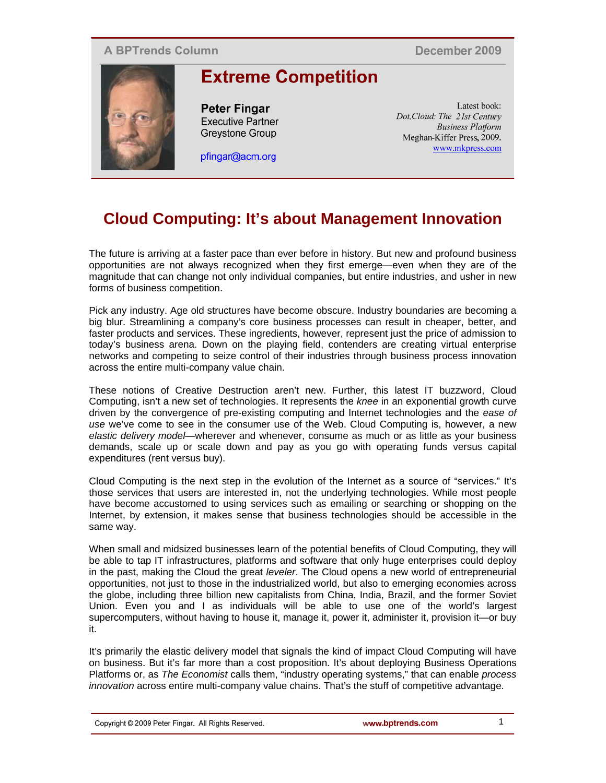## **A BPTrends Column**

December 2009



**Extreme Competition** 

**Peter Fingar Executive Partner** Grevstone Group

pfingar@acm.org

Latest book: Dot.Cloud: The 21st Century **Business Platform** Meghan-Kiffer Press, 2009. www.mkpress.com

# **Cloud Computing: It's about Management Innovation**

The future is arriving at a faster pace than ever before in history. But new and profound business opportunities are not always recognized when they first emerge—even when they are of the magnitude that can change not only individual companies, but entire industries, and usher in new forms of business competition.

Pick any industry. Age old structures have become obscure. Industry boundaries are becoming a big blur. Streamlining a company's core business processes can result in cheaper, better, and faster products and services. These ingredients, however, represent just the price of admission to today's business arena. Down on the playing field, contenders are creating virtual enterprise networks and competing to seize control of their industries through business process innovation across the entire multi-company value chain.

These notions of Creative Destruction aren't new. Further, this latest IT buzzword, Cloud Computing, isn't a new set of technologies. It represents the *knee* in an exponential growth curve driven by the convergence of pre-existing computing and Internet technologies and the *ease of use* we've come to see in the consumer use of the Web. Cloud Computing is, however, a new *elastic delivery model*—wherever and whenever, consume as much or as little as your business demands, scale up or scale down and pay as you go with operating funds versus capital expenditures (rent versus buy).

Cloud Computing is the next step in the evolution of the Internet as a source of "services." It's those services that users are interested in, not the underlying technologies. While most people have become accustomed to using services such as emailing or searching or shopping on the Internet, by extension, it makes sense that business technologies should be accessible in the same way.

When small and midsized businesses learn of the potential benefits of Cloud Computing, they will be able to tap IT infrastructures, platforms and software that only huge enterprises could deploy in the past, making the Cloud the great *leveler*. The Cloud opens a new world of entrepreneurial opportunities, not just to those in the industrialized world, but also to emerging economies across the globe, including three billion new capitalists from China, India, Brazil, and the former Soviet Union. Even you and I as individuals will be able to use one of the world's largest supercomputers, without having to house it, manage it, power it, administer it, provision it—or buy it.

It's primarily the elastic delivery model that signals the kind of impact Cloud Computing will have on business. But it's far more than a cost proposition. It's about deploying Business Operations Platforms or, as *The Economist* calls them, "industry operating systems," that can enable *process innovation* across entire multi-company value chains. That's the stuff of competitive advantage.

1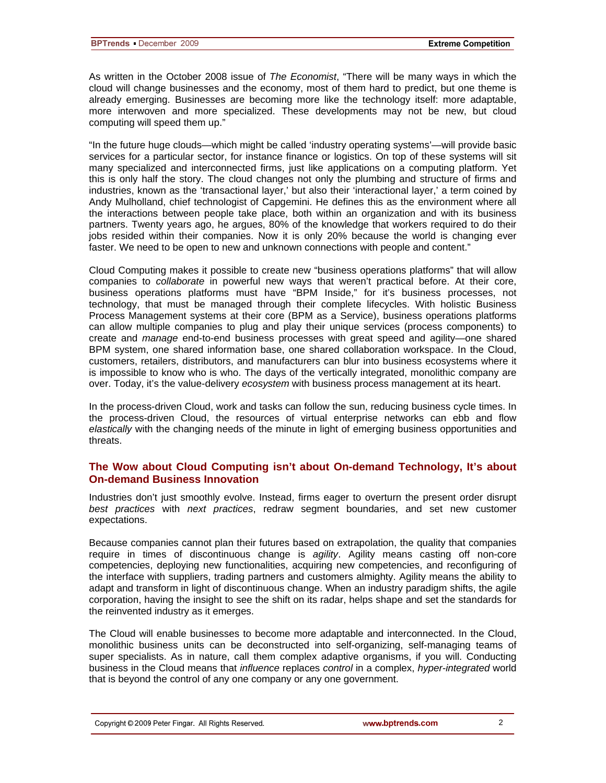As written in the October 2008 issue of *The Economist*, "There will be many ways in which the cloud will change businesses and the economy, most of them hard to predict, but one theme is already emerging. Businesses are becoming more like the technology itself: more adaptable, more interwoven and more specialized. These developments may not be new, but cloud computing will speed them up."

"In the future huge clouds—which might be called 'industry operating systems'—will provide basic services for a particular sector, for instance finance or logistics. On top of these systems will sit many specialized and interconnected firms, just like applications on a computing platform. Yet this is only half the story. The cloud changes not only the plumbing and structure of firms and industries, known as the 'transactional layer,' but also their 'interactional layer,' a term coined by Andy Mulholland, chief technologist of Capgemini. He defines this as the environment where all the interactions between people take place, both within an organization and with its business partners. Twenty years ago, he argues, 80% of the knowledge that workers required to do their jobs resided within their companies. Now it is only 20% because the world is changing ever faster. We need to be open to new and unknown connections with people and content."

Cloud Computing makes it possible to create new "business operations platforms" that will allow companies to *collaborate* in powerful new ways that weren't practical before. At their core, business operations platforms must have "BPM Inside," for it's business processes, not technology, that must be managed through their complete lifecycles. With holistic Business Process Management systems at their core (BPM as a Service), business operations platforms can allow multiple companies to plug and play their unique services (process components) to create and *manage* end-to-end business processes with great speed and agility—one shared BPM system, one shared information base, one shared collaboration workspace. In the Cloud, customers, retailers, distributors, and manufacturers can blur into business ecosystems where it is impossible to know who is who. The days of the vertically integrated, monolithic company are over. Today, it's the value-delivery *ecosystem* with business process management at its heart.

In the process-driven Cloud, work and tasks can follow the sun, reducing business cycle times. In the process-driven Cloud, the resources of virtual enterprise networks can ebb and flow *elastically* with the changing needs of the minute in light of emerging business opportunities and threats.

#### **The Wow about Cloud Computing isn't about On-demand Technology, It's about On-demand Business Innovation**

Industries don't just smoothly evolve. Instead, firms eager to overturn the present order disrupt *best practices* with *next practices*, redraw segment boundaries, and set new customer expectations.

Because companies cannot plan their futures based on extrapolation, the quality that companies require in times of discontinuous change is *agility*. Agility means casting off non-core competencies, deploying new functionalities, acquiring new competencies, and reconfiguring of the interface with suppliers, trading partners and customers almighty. Agility means the ability to adapt and transform in light of discontinuous change. When an industry paradigm shifts, the agile corporation, having the insight to see the shift on its radar, helps shape and set the standards for the reinvented industry as it emerges.

The Cloud will enable businesses to become more adaptable and interconnected. In the Cloud, monolithic business units can be deconstructed into self-organizing, self-managing teams of super specialists. As in nature, call them complex adaptive organisms, if you will. Conducting business in the Cloud means that *influence* replaces *control* in a complex, *hyper-integrated* world that is beyond the control of any one company or any one government.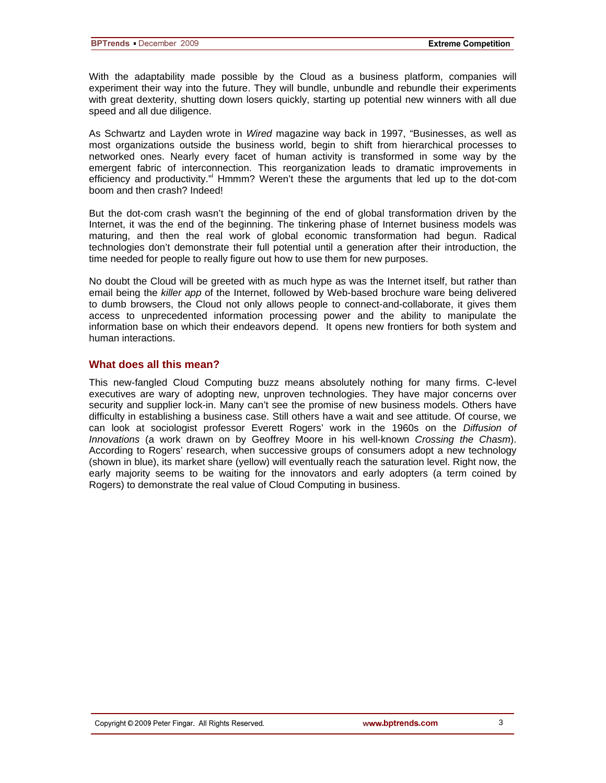With the adaptability made possible by the Cloud as a business platform, companies will experiment their way into the future. They will bundle, unbundle and rebundle their experiments with great dexterity, shutting down losers quickly, starting up potential new winners with all due speed and all due diligence.

As Schwartz and Layden wrote in *Wired* magazine way back in 1997, "Businesses, as well as most organizations outside the business world, begin to shift from hierarchical processes to networked ones. Nearly every facet of human activity is transformed in some way by the emergent fabric of interconnection. This reorganization leads to dramatic improvements in efficiency and productivity." Hmmm? Weren't these the arguments that led up to the dot-com boom and then crash? Indeed!

But the dot-com crash wasn't the beginning of the end of global transformation driven by the Internet, it was the end of the beginning. The tinkering phase of Internet business models was maturing, and then the real work of global economic transformation had begun. Radical technologies don't demonstrate their full potential until a generation after their introduction, the time needed for people to really figure out how to use them for new purposes.

No doubt the Cloud will be greeted with as much hype as was the Internet itself, but rather than email being the *killer app* of the Internet, followed by Web-based brochure ware being delivered to dumb browsers, the Cloud not only allows people to connect-and-collaborate, it gives them access to unprecedented information processing power and the ability to manipulate the information base on which their endeavors depend. It opens new frontiers for both system and human interactions.

### **What does all this mean?**

This new-fangled Cloud Computing buzz means absolutely nothing for many firms. C-level executives are wary of adopting new, unproven technologies. They have major concerns over security and supplier lock-in. Many can't see the promise of new business models. Others have difficulty in establishing a business case. Still others have a wait and see attitude. Of course, we can look at sociologist professor Everett Rogers' work in the 1960s on the *Diffusion of Innovations* (a work drawn on by Geoffrey Moore in his well-known *Crossing the Chasm*). According to Rogers' research, when successive groups of consumers adopt a new technology (shown in blue), its market share (yellow) will eventually reach the saturation level. Right now, the early majority seems to be waiting for the innovators and early adopters (a term coined by Rogers) to demonstrate the real value of Cloud Computing in business.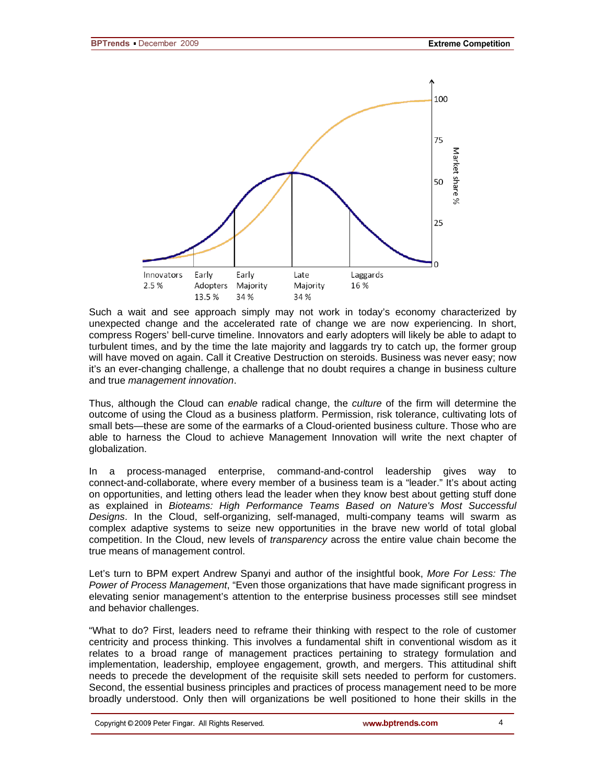

Such a wait and see approach simply may not work in today's economy characterized by unexpected change and the accelerated rate of change we are now experiencing. In short, compress Rogers' bell-curve timeline. Innovators and early adopters will likely be able to adapt to turbulent times, and by the time the late majority and laggards try to catch up, the former group will have moved on again. Call it Creative Destruction on steroids. Business was never easy; now it's an ever-changing challenge, a challenge that no doubt requires a change in business culture and true *management innovation*.

Thus, although the Cloud can *enable* radical change, the *culture* of the firm will determine the outcome of using the Cloud as a business platform. Permission, risk tolerance, cultivating lots of small bets—these are some of the earmarks of a Cloud-oriented business culture. Those who are able to harness the Cloud to achieve Management Innovation will write the next chapter of globalization.

In a process-managed enterprise, command-and-control leadership gives way to connect-and-collaborate, where every member of a business team is a "leader." It's about acting on opportunities, and letting others lead the leader when they know best about getting stuff done as explained in *Bioteams: High Performance Teams Based on Nature's Most Successful Designs*. In the Cloud, self-organizing, self-managed, multi-company teams will swarm as complex adaptive systems to seize new opportunities in the brave new world of total global competition. In the Cloud, new levels of *transparency* across the entire value chain become the true means of management control.

Let's turn to BPM expert Andrew Spanyi and author of the insightful book, *More For Less: The Power of Process Management*, "Even those organizations that have made significant progress in elevating senior management's attention to the enterprise business processes still see mindset and behavior challenges.

"What to do? First, leaders need to reframe their thinking with respect to the role of customer centricity and process thinking. This involves a fundamental shift in conventional wisdom as it relates to a broad range of management practices pertaining to strategy formulation and implementation, leadership, employee engagement, growth, and mergers. This attitudinal shift needs to precede the development of the requisite skill sets needed to perform for customers. Second, the essential business principles and practices of process management need to be more broadly understood. Only then will organizations be well positioned to hone their skills in the